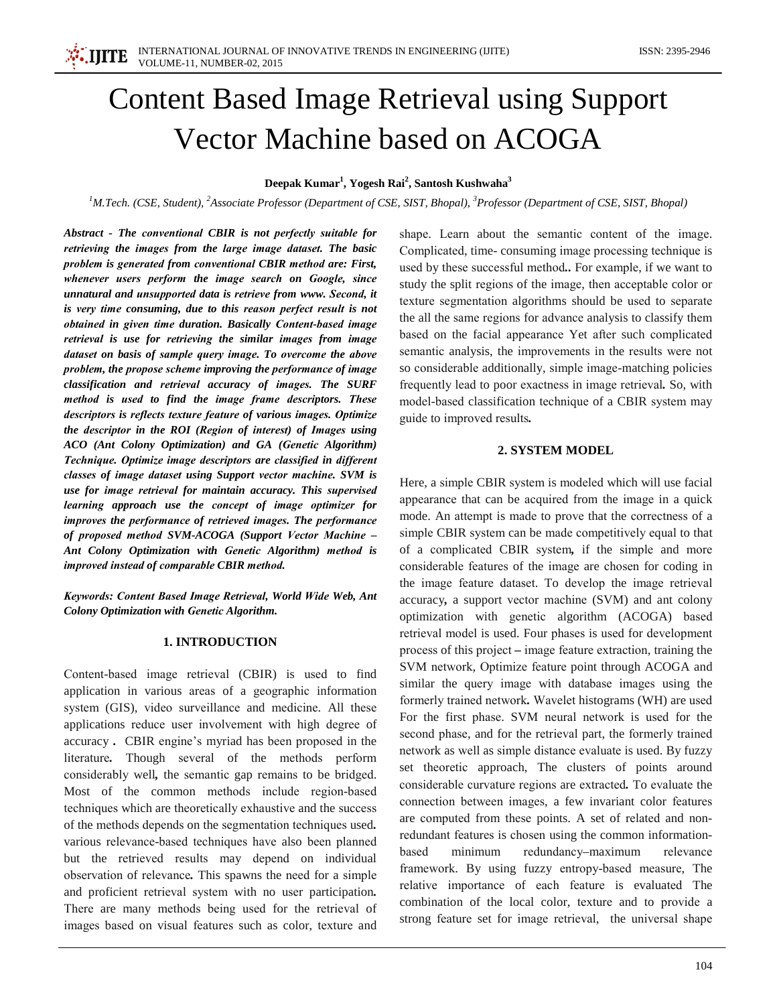# **Content Based Image Retrieval using Support Vector Machine based on ACOGA**

## Deepak Kumar<sup>1</sup>, Yogesh Rai<sup>2</sup>, Santosh Kushwaha<sup>3</sup>

<sup>1</sup>M.Tech. (CSE, Student), <sup>2</sup>Associate Professor (Department of CSE, SIST, Bhopal), <sup>3</sup>Professor (Department of CSE, SIST, Bhopal)

Abstract - The conventional CBIR is not perfectly suitable for retrieving the images from the large image dataset. The basic problem is generated from conventional CBIR method are: First, whenever users perform the image search on Google, since unnatural and unsupported data is retrieve from www. Second, it is very time consuming, due to this reason perfect result is not obtained in given time duration. Basically Content-based image retrieval is use for retrieving the similar images from image dataset on basis of sample query image. To overcome the above problem, the propose scheme improving the performance of image classification and retrieval accuracy of images. The SURF method is used to find the image frame descriptors. These descriptors is reflects texture feature of various images. Optimize the descriptor in the ROI (Region of interest) of Images using ACO (Ant Colony Optimization) and GA (Genetic Algorithm) Technique. Optimize image descriptors are classified in different classes of image dataset using Support vector machine. SVM is use for image retrieval for maintain accuracy. This supervised learning approach use the concept of image optimizer for improves the performance of retrieved images. The performance of proposed method SVM-ACOGA (Support Vector Machine -Ant Colony Optimization with Genetic Algorithm) method is improved instead of comparable CBIR method.

Keywords: Content Based Image Retrieval, World Wide Web, Ant Colony Optimization with Genetic Algorithm.

# **1. INTRODUCTION**

Content-based image retrieval (CBIR) is used to find application in various areas of a geographic information system (GIS), video surveillance and medicine. All these applications reduce user involvement with high degree of accuracy. CBIR engine's myriad has been proposed in the literature. Though several of the methods perform considerably well, the semantic gap remains to be bridged. Most of the common methods include region-based techniques which are theoretically exhaustive and the success of the methods depends on the segmentation techniques used. various relevance-based techniques have also been planned but the retrieved results may depend on individual observation of relevance. This spawns the need for a simple and proficient retrieval system with no user participation. There are many methods being used for the retrieval of images based on visual features such as color, texture and

shape. Learn about the semantic content of the image. Complicated, time-consuming image processing technique is used by these successful method.. For example, if we want to study the split regions of the image, then acceptable color or texture segmentation algorithms should be used to separate the all the same regions for advance analysis to classify them based on the facial appearance Yet after such complicated semantic analysis, the improvements in the results were not so considerable additionally, simple image-matching policies frequently lead to poor exactness in image retrieval. So, with model-based classification technique of a CBIR system may guide to improved results.

#### 2. SYSTEM MODEL

Here, a simple CBIR system is modeled which will use facial appearance that can be acquired from the image in a quick mode. An attempt is made to prove that the correctness of a simple CBIR system can be made competitively equal to that of a complicated CBIR system, if the simple and more considerable features of the image are chosen for coding in the image feature dataset. To develop the image retrieval accuracy, a support vector machine (SVM) and ant colony optimization with genetic algorithm (ACOGA) based retrieval model is used. Four phases is used for development process of this project – image feature extraction, training the SVM network, Optimize feature point through ACOGA and similar the query image with database images using the formerly trained network. Wavelet histograms (WH) are used For the first phase. SVM neural network is used for the second phase, and for the retrieval part, the formerly trained network as well as simple distance evaluate is used. By fuzzy set theoretic approach, The clusters of points around considerable curvature regions are extracted. To evaluate the connection between images, a few invariant color features are computed from these points. A set of related and nonredundant features is chosen using the common informationbased minimum redundancy-maximum relevance framework. By using fuzzy entropy-based measure, The relative importance of each feature is evaluated The combination of the local color, texture and to provide a strong feature set for image retrieval, the universal shape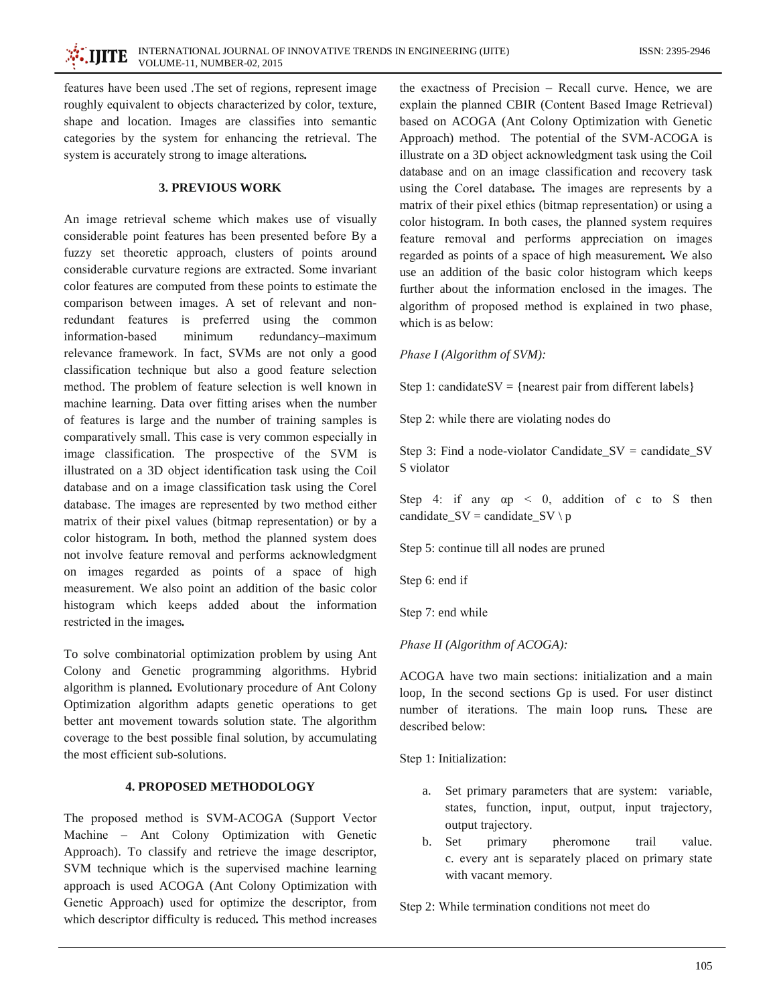features have been used. The set of regions, represent image roughly equivalent to objects characterized by color, texture, shape and location. Images are classifies into semantic categories by the system for enhancing the retrieval. The system is accurately strong to image alterations.

## **3. PREVIOUS WORK**

An image retrieval scheme which makes use of visually considerable point features has been presented before By a fuzzy set theoretic approach, clusters of points around considerable curvature regions are extracted. Some invariant color features are computed from these points to estimate the comparison between images. A set of relevant and nonredundant features is preferred using the common information-based minimum redundancy-maximum relevance framework. In fact, SVMs are not only a good classification technique but also a good feature selection method. The problem of feature selection is well known in machine learning. Data over fitting arises when the number of features is large and the number of training samples is comparatively small. This case is very common especially in image classification. The prospective of the SVM is illustrated on a 3D object identification task using the Coil database and on a image classification task using the Corel database. The images are represented by two method either matrix of their pixel values (bitmap representation) or by a color histogram. In both, method the planned system does not involve feature removal and performs acknowledgment on images regarded as points of a space of high measurement. We also point an addition of the basic color histogram which keeps added about the information restricted in the images.

To solve combinatorial optimization problem by using Ant Colony and Genetic programming algorithms. Hybrid algorithm is planned. Evolutionary procedure of Ant Colony Optimization algorithm adapts genetic operations to get better ant movement towards solution state. The algorithm coverage to the best possible final solution, by accumulating the most efficient sub-solutions.

# **4. PROPOSED METHODOLOGY**

The proposed method is SVM-ACOGA (Support Vector Machine - Ant Colony Optimization with Genetic Approach). To classify and retrieve the image descriptor, SVM technique which is the supervised machine learning approach is used ACOGA (Ant Colony Optimization with Genetic Approach) used for optimize the descriptor, from which descriptor difficulty is reduced. This method increases

the exactness of Precision – Recall curve. Hence, we are explain the planned CBIR (Content Based Image Retrieval) based on ACOGA (Ant Colony Optimization with Genetic Approach) method. The potential of the SVM-ACOGA is illustrate on a 3D object acknowledgment task using the Coil database and on an image classification and recovery task using the Corel database. The images are represents by a matrix of their pixel ethics (bitmap representation) or using a color histogram. In both cases, the planned system requires feature removal and performs appreciation on images regarded as points of a space of high measurement. We also use an addition of the basic color histogram which keeps further about the information enclosed in the images. The algorithm of proposed method is explained in two phase, which is as below:

#### Phase I (Algorithm of SVM):

Step 1: candidateSV = {nearest pair from different labels}

Step 2: while there are violating nodes do

Step 3: Find a node-violator Candidate\_SV = candidate\_SV S violator

Step 4: if any  $\alpha p \leq 0$ , addition of c to S then candidate\_SV = candidate\_SV \p

Step 5: continue till all nodes are pruned

Step 6: end if

Step 7: end while

# Phase II (Algorithm of ACOGA):

ACOGA have two main sections: initialization and a main loop, In the second sections Gp is used. For user distinct number of iterations. The main loop runs. These are described below:

Step 1: Initialization:

- Set primary parameters that are system: variable, a. states, function, input, output, input trajectory, output trajectory.
- b. Set primary pheromone trail value. c. every ant is separately placed on primary state with vacant memory.

Step 2: While termination conditions not meet do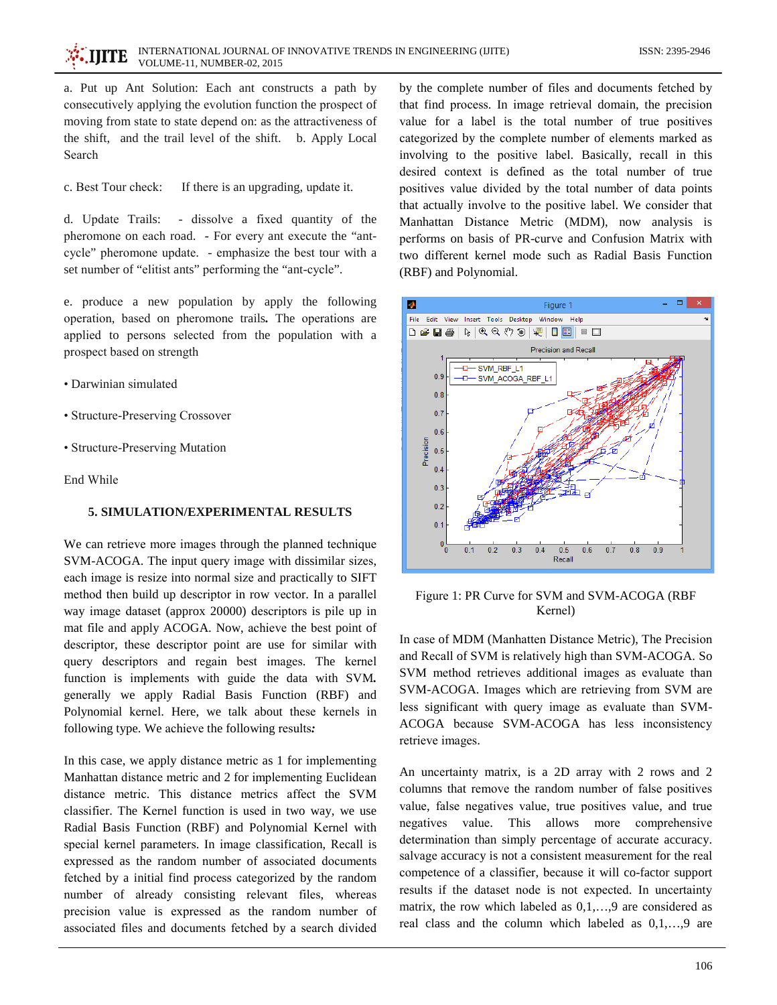a. Put up Ant Solution: Each ant constructs a path by consecutively applying the evolution function the prospect of moving from state to state depend on: as the attractiveness of the shift, and the trail level of the shift. b. Apply Local Search

c. Best Tour check: If there is an upgrading, update it.

d. Update Trails: - dissolve a fixed quantity of the pheromone on each road. - For every ant execute the "antcycle" pheromone update. - emphasize the best tour with a set number of "elitist ants" performing the "ant-cycle".

e. produce a new population by apply the following operation, based on pheromone trails. The operations are applied to persons selected from the population with a prospect based on strength

- Darwinian simulated
- Structure-Preserving Crossover
- Structure-Preserving Mutation

End While

#### 5. SIMULATION/EXPERIMENTAL RESULTS

We can retrieve more images through the planned technique SVM-ACOGA. The input query image with dissimilar sizes, each image is resize into normal size and practically to SIFT method then build up descriptor in row vector. In a parallel way image dataset (approx 20000) descriptors is pile up in mat file and apply ACOGA. Now, achieve the best point of descriptor, these descriptor point are use for similar with query descriptors and regain best images. The kernel function is implements with guide the data with SVM. generally we apply Radial Basis Function (RBF) and Polynomial kernel. Here, we talk about these kernels in following type. We achieve the following results:

In this case, we apply distance metric as 1 for implementing Manhattan distance metric and 2 for implementing Euclidean distance metric. This distance metrics affect the SVM classifier. The Kernel function is used in two way, we use Radial Basis Function (RBF) and Polynomial Kernel with special kernel parameters. In image classification, Recall is expressed as the random number of associated documents fetched by a initial find process categorized by the random number of already consisting relevant files, whereas precision value is expressed as the random number of associated files and documents fetched by a search divided

by the complete number of files and documents fetched by that find process. In image retrieval domain, the precision value for a label is the total number of true positives categorized by the complete number of elements marked as involving to the positive label. Basically, recall in this desired context is defined as the total number of true positives value divided by the total number of data points that actually involve to the positive label. We consider that Manhattan Distance Metric (MDM), now analysis is performs on basis of PR-curve and Confusion Matrix with two different kernel mode such as Radial Basis Function (RBF) and Polynomial.



Figure 1: PR Curve for SVM and SVM-ACOGA (RBF Kernel)

In case of MDM (Manhatten Distance Metric), The Precision and Recall of SVM is relatively high than SVM-ACOGA. So SVM method retrieves additional images as evaluate than SVM-ACOGA. Images which are retrieving from SVM are less significant with query image as evaluate than SVM-ACOGA because SVM-ACOGA has less inconsistency retrieve images.

An uncertainty matrix, is a 2D array with 2 rows and 2 columns that remove the random number of false positives value, false negatives value, true positives value, and true negatives value. This allows more comprehensive determination than simply percentage of accurate accuracy. salvage accuracy is not a consistent measurement for the real competence of a classifier, because it will co-factor support results if the dataset node is not expected. In uncertainty matrix, the row which labeled as  $0,1,...,9$  are considered as real class and the column which labeled as 0,1,...,9 are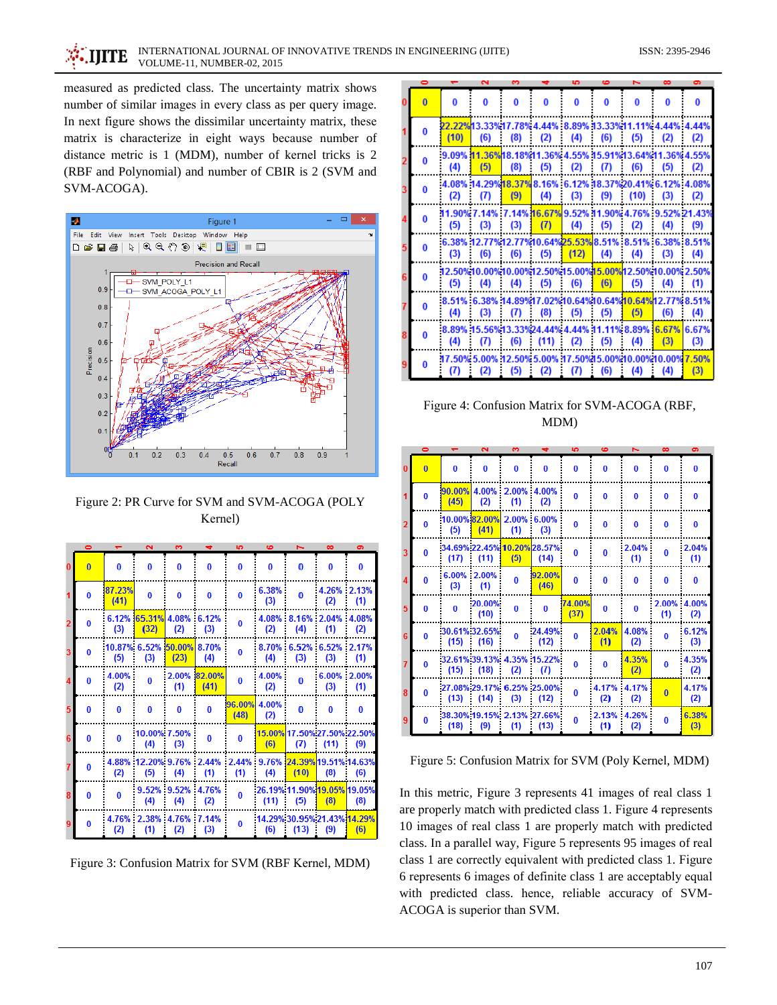measured as predicted class. The uncertainty matrix shows number of similar images in every class as per query image. In next figure shows the dissimilar uncertainty matrix, these matrix is characterize in eight ways because number of distance metric is 1 (MDM), number of kernel tricks is 2 (RBF and Polynomial) and number of CBIR is 2 (SVM and SVM-ACOGA).



Figure 2: PR Curve for SVM and SVM-ACOGA (POLY Kernel)

|   | $\bullet$ |                | $\overline{\mathbf{v}}$ | S              |                | <b>SP</b>      | 6            | н        | $\infty$                                        | $\bullet$    |
|---|-----------|----------------|-------------------------|----------------|----------------|----------------|--------------|----------|-------------------------------------------------|--------------|
|   | o         | 0              | $\bf{0}$                | 0              | $\mathbf{0}$   | $\bf{0}$       | $\bf{0}$     | $\bf{0}$ | $\bf{0}$                                        | $\bf{0}$     |
|   | o         | 87.23%<br>(41) | 0                       | 0              | $\bf{0}$       | 0              | 6.38%<br>(3) | O        | 4.26% 2.13%<br>(2)                              | (1)          |
|   | o         | 6.12%<br>(3)   | 65.31% 4.08%<br>(32)    | (2)            | 6.12%<br>(3)   | 0              | (2)          | (4)      | 4.08% 8.16% 2.04% 4.08%<br>(1)                  | (2)          |
|   | n         | 10.87%<br>(5)  | 6.52%<br>(3)            | 50.00%<br>(23) | 8.70%<br>(4)   | 0              | 8.70%<br>(4) | (3)      | 6.52% 6.52%<br>(3)                              | 2.17%<br>(1) |
|   | n         | 4.00%<br>(2)   | 0                       | 2.00%<br>(1)   | 82.00%<br>(41) | 0              | 4.00%<br>(2) | $\bf{0}$ | 6.00%<br>(3)                                    | 2.00%<br>(1) |
| 5 | o         | $\bf{0}$       | $\bf{0}$                | $\bf{0}$       | $\bf{0}$       | 96.00%<br>(48) | 4.00%<br>(2) | $\bf{0}$ | $\bf{0}$                                        | $\bf{0}$     |
| 6 | 0         | 0              | 10.00% 7.50%<br>(4)     | (3)            | $\mathbf{0}$   | 0              | (6)          | (7)      | 15.00% 17.50% 27.50% 22.50%<br>(11)             | (9)          |
|   | n         | 4.88%<br>(2)   | 12.20% 9.76%<br>(5)     | (4)            | 2.44%<br>(1)   | 2.44%<br>(1)   | 9.76%<br>(4) | (10)     | 24.39% 19.51% 14.63%<br>(8)                     | (6)          |
|   | n         | $\Omega$       | 9.52%<br>(4)            | 9.52%<br>(4)   | 4.76%<br>(2)   | 0              | (11)         | (5)      | 26.19% 11.90% 19.05% 19.05%<br>(8)              | (8)          |
|   |           | 4.76%<br>(2)   | 2.38%<br>(1)            | 4.76%<br>(2)   | 7.14%<br>(3)   | 0              | (6)          | (13)     | 14.29% 30.95% 21.43% <mark>14.29%</mark><br>(9) | (6)          |

Figure 3: Confusion Matrix for SVM (RBF Kernel, MDM)

|   | ◓ |              |                                                                  | ო        |           | ю        |          |      | ൟ   | o            |
|---|---|--------------|------------------------------------------------------------------|----------|-----------|----------|----------|------|-----|--------------|
|   |   | o            | O                                                                | O        | o         | 0        | O        | O    | O   |              |
|   |   | (10)         | 22.22%13.33%17.78% 4.44% 8.89% 13.33%11.11% 4.44% 4.44%<br>(6)   | (8)      | (2)       | (4)      | (6)<br>÷ | (5)  | (2) | (2)          |
|   |   | 9.09%<br>(4) | 11.36%18.18%11.36% 4.55% 15.91%13.64%11.36% 4.55%<br>(5)         | (8)      | (5)       | (2)      | (7)<br>î | (6)  | (5) | (2)          |
|   |   | (2)          | 4.08% 14.29% 18.37% 8.16% 6.12% 18.37% 20.41% 6.12% 4.08%<br>(7) | (9)      | (4)<br>i  | (3)<br>÷ | (9)<br>÷ | (10) | (3) | (2)          |
|   |   | (5)          | 11.90% 7.14% 7.14% 16.67% 9.52% 11.90% 4.76% 9.52% 21.43%<br>(3) | (3)      | (7)       | (4)      | (5)      | (2)  | (4) | (9)          |
| 5 |   | (3)          | 6.38% 12.77% 12.77% 10.64% 25.53% 8.51% 8.51% 6.38% 8.51%<br>(6) | (6)      | (5)       | (12)     | (4)      | (4)  | (3) | (4)          |
| 6 |   | (5)          | 12.50%10.00%10.00%12.50%15.00%15.00%12.50%10.00%2.50%<br>(4)     | (4)<br>÷ | (5)       | (6)      | (6)      | (5)  | (4) | (1)          |
|   |   | (4)          | 8.51% 6.38% 14.89%17.02%10.64%10.64%10.64%12.77% 8.51%<br>(3)    | (7)<br>÷ | (8)<br>I, | (5)<br>и | (5)      | (5)  | (6) | (4)          |
| 8 |   | (4)          | 8.89% 15.56%13.33%24.44% 4.44% 11.11% 8.89% 6.67% 6.67%<br>(7)   | (6)      | $(11)$ :  | (2)<br>÷ | (5)      | (4)  | (3) | (3)          |
|   |   | (7)          | 17.50% 5.00% 12.50% 5.00% 17.50% 15.00% 10.00% 10.00%<br>(2)     | (5)      | (2)       |          | (6)      | (4)  | (4) | 7.50%<br>(3) |

Figure 4: Confusion Matrix for SVM-ACOGA (RBF, MDM)

|                | $\bullet$      |                       | $\overline{\mathbf{c}}$ | õ                               | ᆠ                                   | 5              | 6            | N            | $\infty$     | $\sigma$     |
|----------------|----------------|-----------------------|-------------------------|---------------------------------|-------------------------------------|----------------|--------------|--------------|--------------|--------------|
|                | $\overline{0}$ | $\bf{0}$              | $\bf{0}$                | $\bf{0}$                        | 0                                   | 0              | $\bf{0}$     | $\bf{0}$     | 0            | $\bf{0}$     |
|                | n              | (45)                  | (2)                     | 90.00% 4.00% 2.00% 4.00%<br>(1) | (2)                                 | $\bf{0}$       | $\bf{0}$     | $\bf{0}$     | 0            | $\bf{0}$     |
| $\overline{2}$ | o              | (5)                   | 10.00% 82.00%<br>(41)   | 2.00% 6.00%<br>(1)              | (3)                                 | 0              | $\bf{0}$     | 0            | 0            | 0            |
| 3              | n              | (17)                  | (11)                    | (5)                             | 34.69% 22.45% 10.20% 28.57%<br>(14) | 0              | $\bf{0}$     | 2.04%<br>(1) | O            | 2.04%<br>(1) |
|                | o              | 6.00%<br>(3)          | 2.00%<br>(1)            | 0                               | 92.00%<br>(46)                      | 0              | $\bf{0}$     | $\bf{0}$     | 0            | 0            |
| 5              | n              | $\bf{0}$              | 20.00%<br>(10)          | $\bf{0}$                        | $\bf{0}$                            | 74.00%<br>(37) | $\bf{0}$     | $\bf{0}$     | 2.00%<br>(1) | 4.00%<br>(2) |
| 6              | n              | 30.61% 32.65%<br>(15) | (16)                    | 0                               | 24.49%<br>(12)                      | $\bf{0}$       | 2.04%<br>(1) | 4.08%<br>(2) | 0            | 6.12%<br>(3) |
| 7              | n              | (15)                  | (18)                    | (2)                             | 32.61% 39.13% 4.35% 15.22%<br>(7)   | 0              | $\Omega$     | 4.35%<br>(2) | 0            | 4.35%<br>(2) |
| 8              | o              | (13)                  | (14)                    | (3)                             | 27.08% 29.17% 6.25% 25.00%<br>(12)  | 0              | 4.17%<br>(2) | 4.17%<br>(2) | $\bf{0}$     | 4.17%<br>(2) |
| 9              | n              | (18)                  | (9)                     | (1)                             | 38.30% 19.15% 2.13% 27.66%<br>(13)  | 0              | 2.13%<br>(1) | 4.26%<br>(2) | O            | 6.38%<br>(3) |

Figure 5: Confusion Matrix for SVM (Poly Kernel, MDM)

In this metric, Figure 3 represents 41 images of real class 1 are properly match with predicted class 1. Figure 4 represents 10 images of real class 1 are properly match with predicted class. In a parallel way, Figure 5 represents 95 images of real class 1 are correctly equivalent with predicted class 1. Figure 6 represents 6 images of definite class 1 are acceptably equal with predicted class. hence, reliable accuracy of SVM-ACOGA is superior than SVM.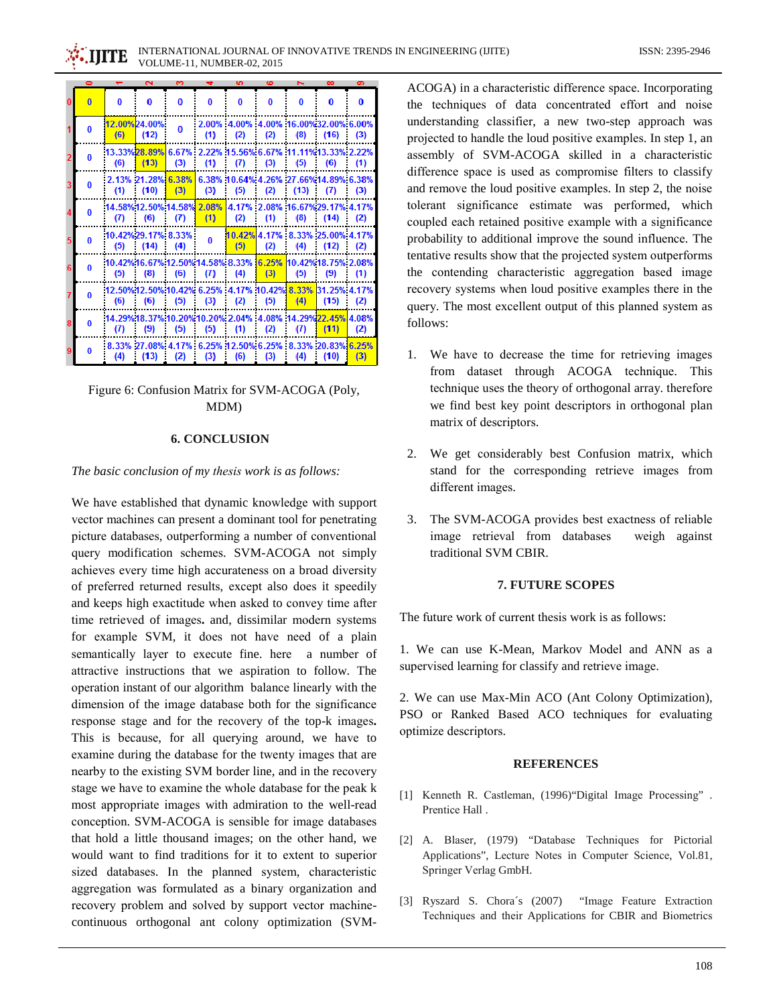|          |          | $\sim$                            | . . |          | . . |     |           | ື                                                                  | . .      |
|----------|----------|-----------------------------------|-----|----------|-----|-----|-----------|--------------------------------------------------------------------|----------|
| $\bf{0}$ | $\bf{0}$ | $\bf{0}$                          | 0   | 0        | 0   | 0   | $\bf{0}$  | $\bf{0}$                                                           | $\bf{0}$ |
| O        | (6)      | 12.00%24.00%<br>(12)              | o   | (1)      | (2) | (2) | (8)       | 2.00% 4.00% 4.00% 16.00%32.00% 6.00%<br>(16)                       | (3)      |
| o        | (6)      | (13)                              | (3) | (1)      | (7) | (3) | (5)       | 13.33%28.89% 6.67% : 2.22% 15.56% 6.67% :11.11%13.33% 2.22%<br>(6) | (1)      |
| n        | (1)      | 2.13% 21.28% 6.38%<br>(10)        | (3) | (3)      | (5) | (2) | (13)<br>÷ | 6.38% 10.64% 4.26% 27.66% 14.89% 6.38%<br>(7)                      | (3)      |
| o        | (7)      | 14.58% 12.50% 14.58% 2.08%<br>(6) | (7) | (1)      | (2) | (1) | (8)       | 4.17% 2.08% 16.67% 29.17% 4.17%<br>(14)                            | (2)      |
| O        | (5)      | 10.42%29.17% 8.33%<br>(14)        | (4) | $\bf{0}$ | (5) | (2) | (4)       | 10.42% 4.17% 8.33% 25.00% 4.17%<br>(12)                            | (2)      |
| o        | (5)      | (8)                               | (6) | (7)      | (4) | (3) | (5)       | 10.42%16.67%12.50%14.58% 8.33% 6.25% 10.42%18.75% 2.08%<br>(9)     | (1)      |
| 0        | (6)      | (6)                               | (5) | (3)      | (2) | (5) | (4)       | (15)                                                               | (2)      |
| n        | (7)      | (9)                               | (5) | (5)      | (1) | (2) | (7)       | 14.29%18.37%10.20%10.20% 2.04% 4.08% 14.29%22.45% 4.08%<br>(11)    | (2)      |
| n        | (4)      | (13)                              | (2) | (3)      | (6) | (3) | (4)       | 8.33% 27.08% 4.17% 6.25% 12.50% 6.25% 8.33% 20.83% 6.25%<br>(10)   | (3)      |

Figure 6: Confusion Matrix for SVM-ACOGA (Poly, MDM)

#### **6. CONCLUSION**

#### The basic conclusion of my thesis work is as follows:

We have established that dynamic knowledge with support vector machines can present a dominant tool for penetrating picture databases, outperforming a number of conventional query modification schemes. SVM-ACOGA not simply achieves every time high accurateness on a broad diversity of preferred returned results, except also does it speedily and keeps high exactitude when asked to convey time after time retrieved of images. and, dissimilar modern systems for example SVM, it does not have need of a plain semantically layer to execute fine. here a number of attractive instructions that we aspiration to follow. The operation instant of our algorithm balance linearly with the dimension of the image database both for the significance response stage and for the recovery of the top-k images. This is because, for all querying around, we have to examine during the database for the twenty images that are nearby to the existing SVM border line, and in the recovery stage we have to examine the whole database for the peak k most appropriate images with admiration to the well-read conception. SVM-ACOGA is sensible for image databases that hold a little thousand images; on the other hand, we would want to find traditions for it to extent to superior sized databases. In the planned system, characteristic aggregation was formulated as a binary organization and recovery problem and solved by support vector machinecontinuous orthogonal ant colony optimization (SVM-

ACOGA) in a characteristic difference space. Incorporating the techniques of data concentrated effort and noise understanding classifier, a new two-step approach was projected to handle the loud positive examples. In step 1, an assembly of SVM-ACOGA skilled in a characteristic difference space is used as compromise filters to classify and remove the loud positive examples. In step 2, the noise tolerant significance estimate was performed, which coupled each retained positive example with a significance probability to additional improve the sound influence. The tentative results show that the projected system outperforms the contending characteristic aggregation based image recovery systems when loud positive examples there in the query. The most excellent output of this planned system as follows:

- 1. We have to decrease the time for retrieving images from dataset through ACOGA technique. This technique uses the theory of orthogonal array, therefore we find best key point descriptors in orthogonal plan matrix of descriptors.
- 2. We get considerably best Confusion matrix, which stand for the corresponding retrieve images from different images.
- 3. The SVM-ACOGA provides best exactness of reliable image retrieval from databases weigh against traditional SVM CBIR.

#### 7. FUTURE SCOPES

The future work of current thesis work is as follows:

1. We can use K-Mean, Markov Model and ANN as a supervised learning for classify and retrieve image.

2. We can use Max-Min ACO (Ant Colony Optimization), PSO or Ranked Based ACO techniques for evaluating optimize descriptors.

#### **REFERENCES**

- [1] Kenneth R. Castleman, (1996) "Digital Image Processing" . Prentice Hall.
- [2] A. Blaser, (1979) "Database Techniques for Pictorial Applications", Lecture Notes in Computer Science, Vol.81, Springer Verlag GmbH.
- [3] Ryszard S. Chora's (2007) "Image Feature Extraction Techniques and their Applications for CBIR and Biometrics